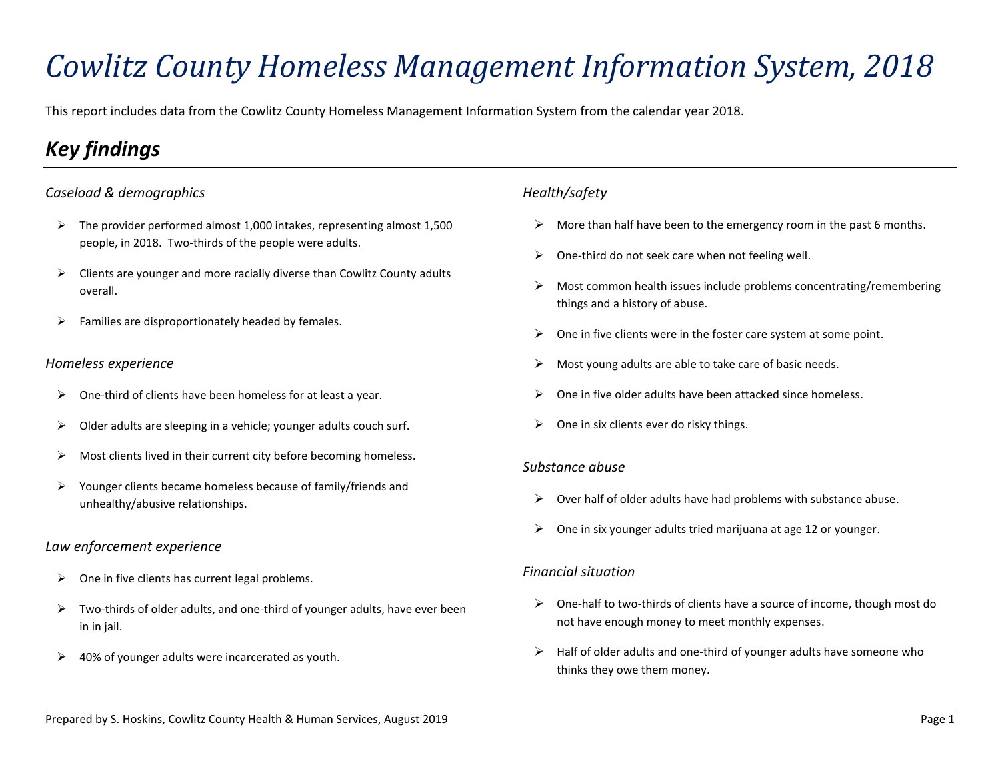# *Cowlitz County Homeless Management Information System, 2018*

This report includes data from the Cowlitz County Homeless Management Information System from the calendar year 2018.

# *Key findings*

### *Caseload & demographics*

- $\triangleright$  The provider performed almost 1,000 intakes, representing almost 1,500 people, in 2018. Two-thirds of the people were adults.
- $\triangleright$  Clients are younger and more racially diverse than Cowlitz County adults overall.
- $\triangleright$  Families are disproportionately headed by females.

#### *Homeless experience*

- $\triangleright$  One-third of clients have been homeless for at least a year.
- $\triangleright$  Older adults are sleeping in a vehicle; younger adults couch surf.
- $\triangleright$  Most clients lived in their current city before becoming homeless.
- ➢ Younger clients became homeless because of family/friends and unhealthy/abusive relationships.

### *Law enforcement experience*

- $\triangleright$  One in five clients has current legal problems.
- $\triangleright$  Two-thirds of older adults, and one-third of younger adults, have ever been in in jail.
- $\geq$  40% of younger adults were incarcerated as youth.

### *Health/safety*

- $\triangleright$  More than half have been to the emergency room in the past 6 months.
- $\triangleright$  One-third do not seek care when not feeling well.
- $\triangleright$  Most common health issues include problems concentrating/remembering things and a history of abuse.
- $\triangleright$  One in five clients were in the foster care system at some point.
- $\triangleright$  Most young adults are able to take care of basic needs.
- ➢ One in five older adults have been attacked since homeless.
- $\triangleright$  One in six clients ever do risky things.

#### *Substance abuse*

- $\triangleright$  Over half of older adults have had problems with substance abuse.
- $\triangleright$  One in six younger adults tried marijuana at age 12 or younger.

### *Financial situation*

- $\triangleright$  One-half to two-thirds of clients have a source of income, though most do not have enough money to meet monthly expenses.
- $\triangleright$  Half of older adults and one-third of younger adults have someone who thinks they owe them money.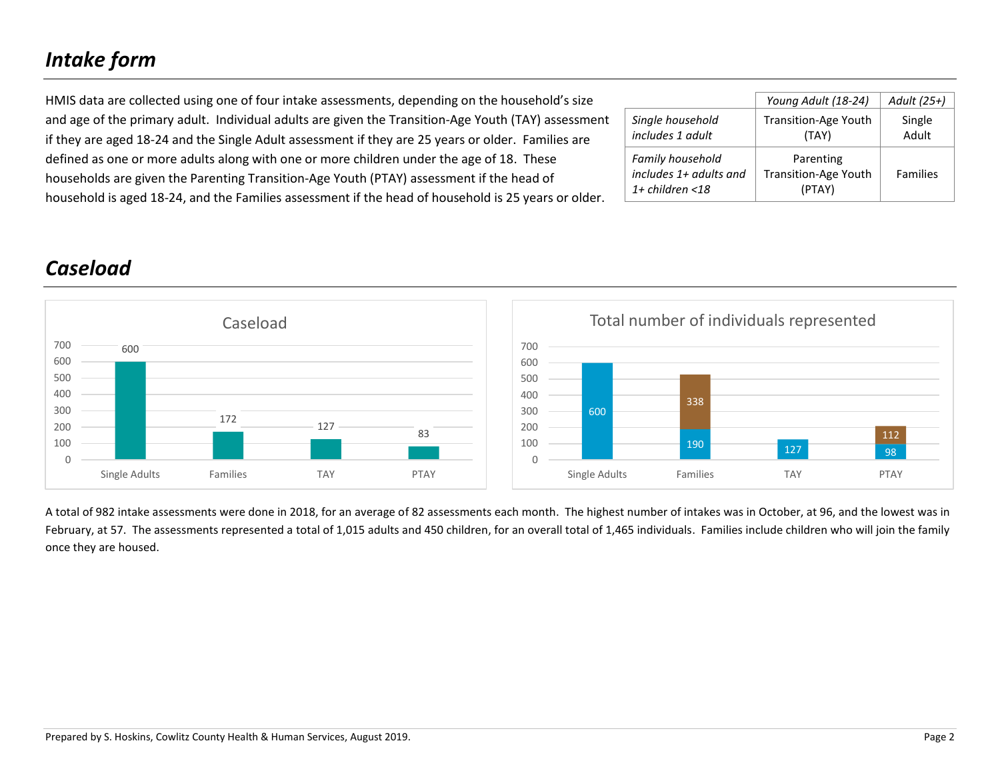# *Intake form*

| HMIS data are collected using one of four intake assessments, depending on the household's size     |                        | Young Adult (18-24)         | Adult (25+)     |
|-----------------------------------------------------------------------------------------------------|------------------------|-----------------------------|-----------------|
| and age of the primary adult. Individual adults are given the Transition-Age Youth (TAY) assessment | Single household       | <b>Transition-Age Youth</b> | Single          |
| if they are aged 18-24 and the Single Adult assessment if they are 25 years or older. Families are  | includes 1 adult       | (TAY)                       | Adult           |
| defined as one or more adults along with one or more children under the age of 18. These            | Family household       | Parenting                   |                 |
| households are given the Parenting Transition-Age Youth (PTAY) assessment if the head of            | includes 1+ adults and | <b>Transition-Age Youth</b> | <b>Families</b> |
| household is aged 18-24, and the Families assessment if the head of household is 25 years or older. | $1+$ children <18      | (PTAY)                      |                 |

# *Caseload*





A total of 982 intake assessments were done in 2018, for an average of 82 assessments each month. The highest number of intakes was in October, at 96, and the lowest was in February, at 57. The assessments represented a total of 1,015 adults and 450 children, for an overall total of 1,465 individuals. Families include children who will join the family once they are housed.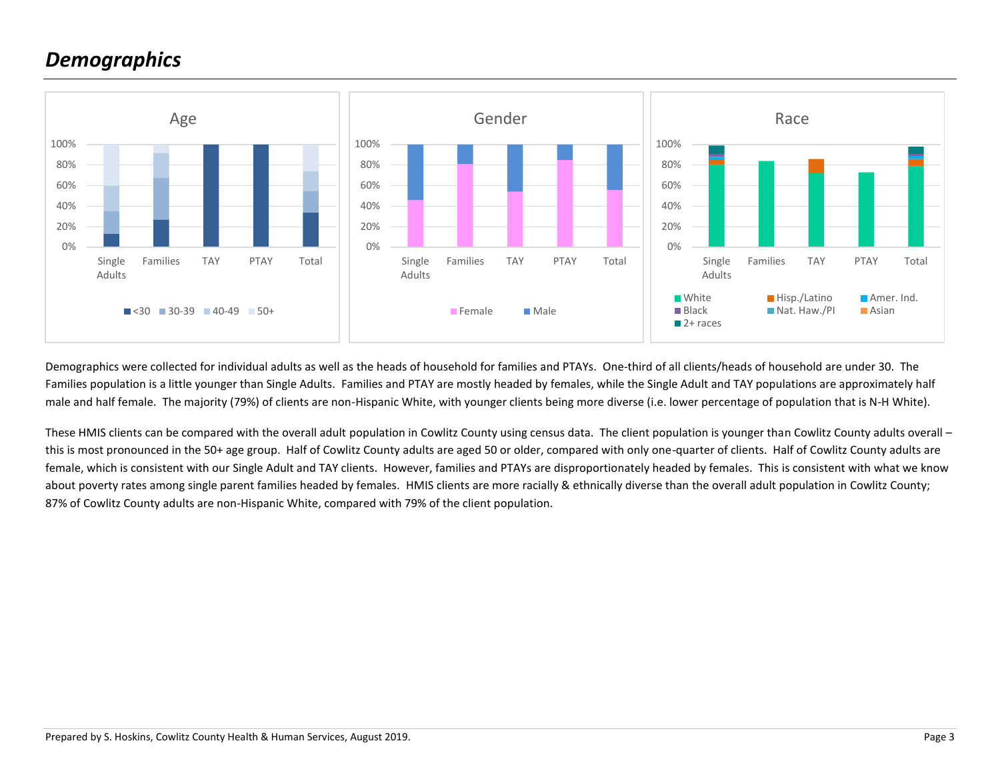## *Demographics*



Demographics were collected for individual adults as well as the heads of household for families and PTAYs. One-third of all clients/heads of household are under 30. The Families population is a little younger than Single Adults. Families and PTAY are mostly headed by females, while the Single Adult and TAY populations are approximately half male and half female. The majority (79%) of clients are non-Hispanic White, with younger clients being more diverse (i.e. lower percentage of population that is N-H White).

These HMIS clients can be compared with the overall adult population in Cowlitz County using census data. The client population is younger than Cowlitz County adults overall this is most pronounced in the 50+ age group. Half of Cowlitz County adults are aged 50 or older, compared with only one-quarter of clients. Half of Cowlitz County adults are female, which is consistent with our Single Adult and TAY clients. However, families and PTAYs are disproportionately headed by females. This is consistent with what we know about poverty rates among single parent families headed by females. HMIS clients are more racially & ethnically diverse than the overall adult population in Cowlitz County; 87% of Cowlitz County adults are non-Hispanic White, compared with 79% of the client population.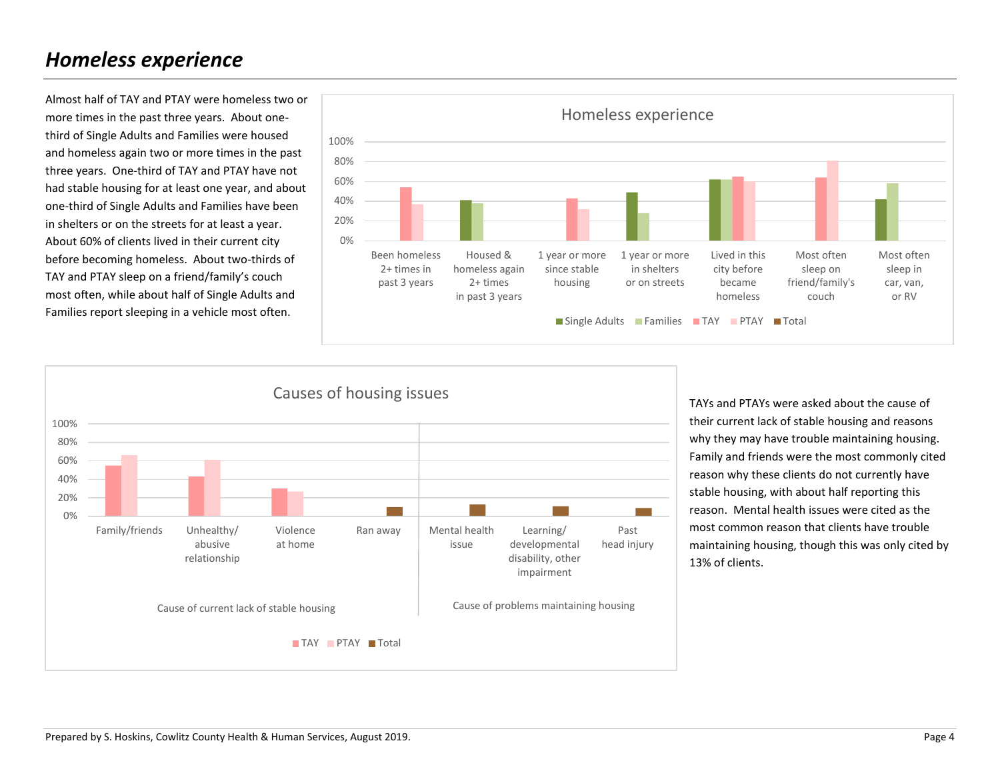### *Homeless experience*

Almost half of TAY and PTAY were homeless two or more times in the past three years. About onethird of Single Adults and Families were housed and homeless again two or more times in the past three years. One-third of TAY and PTAY have not had stable housing for at least one year, and about one-third of Single Adults and Families have been in shelters or on the streets for at least a year. About 60% of clients lived in their current city before becoming homeless. About two-thirds of TAY and PTAY sleep on a friend/family's couch most often, while about half of Single Adults and Families report sleeping in a vehicle most often.





TAYs and PTAYs were asked about the cause of their current lack of stable housing and reasons why they may have trouble maintaining housing. Family and friends were the most commonly cited reason why these clients do not currently have stable housing, with about half reporting this reason. Mental health issues were cited as the most common reason that clients have trouble maintaining housing, though this was only cited by 13% of clients.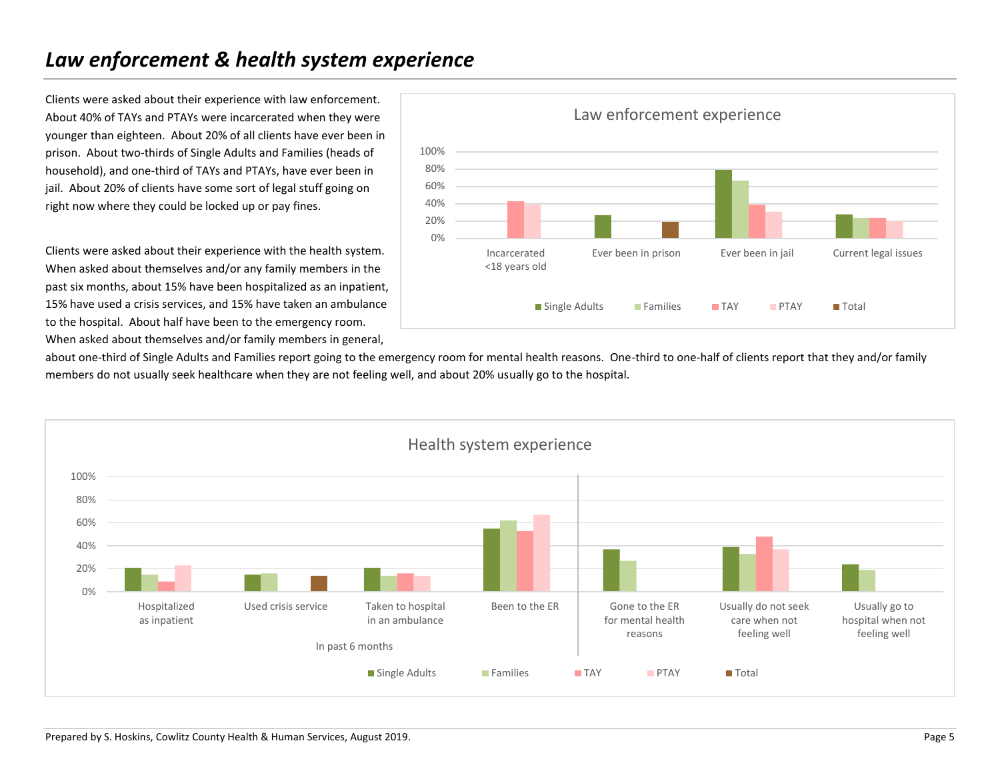## *Law enforcement & health system experience*

Clients were asked about their experience with law enforcement. About 40% of TAYs and PTAYs were incarcerated when they were younger than eighteen. About 20% of all clients have ever been in prison. About two-thirds of Single Adults and Families (heads of household), and one-third of TAYs and PTAYs, have ever been in jail. About 20% of clients have some sort of legal stuff going on right now where they could be locked up or pay fines.

Clients were asked about their experience with the health system. When asked about themselves and/or any family members in the past six months, about 15% have been hospitalized as an inpatient, 15% have used a crisis services, and 15% have taken an ambulance to the hospital. About half have been to the emergency room. When asked about themselves and/or family members in general,



about one-third of Single Adults and Families report going to the emergency room for mental health reasons. One-third to one-half of clients report that they and/or family members do not usually seek healthcare when they are not feeling well, and about 20% usually go to the hospital.

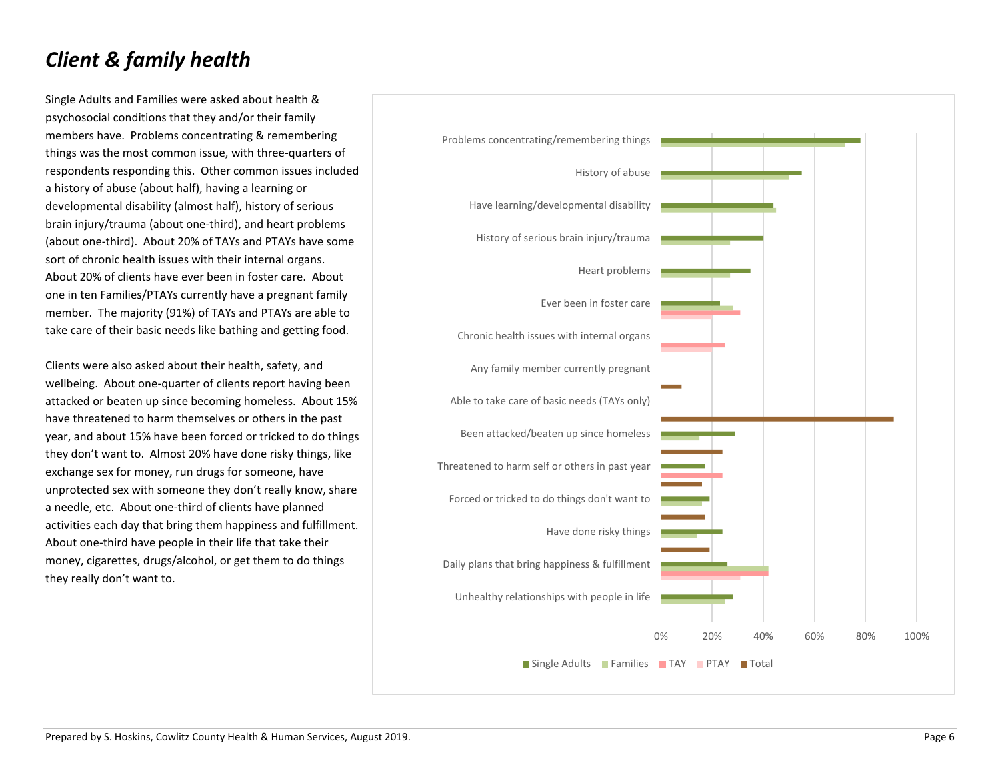# *Client & family health*

Single Adults and Families were asked about health & psychosocial conditions that they and/or their family members have. Problems concentrating & remembering things was the most common issue, with three-quarters of respondents responding this. Other common issues included a history of abuse (about half), having a learning or developmental disability (almost half), history of serious brain injury/trauma (about one-third), and heart problems (about one-third). About 20% of TAYs and PTAYs have some sort of chronic health issues with their internal organs. About 20% of clients have ever been in foster care. About one in ten Families/PTAYs currently have a pregnant family member. The majority (91%) of TAYs and PTAYs are able to take care of their basic needs like bathing and getting food.

Clients were also asked about their health, safety, and wellbeing. About one-quarter of clients report having been attacked or beaten up since becoming homeless. About 15% have threatened to harm themselves or others in the past year, and about 15% have been forced or tricked to do things they don't want to. Almost 20% have done risky things, like exchange sex for money, run drugs for someone, have unprotected sex with someone they don't really know, share a needle, etc. About one-third of clients have planned activities each day that bring them happiness and fulfillment. About one-third have people in their life that take their money, cigarettes, drugs/alcohol, or get them to do things they really don't want to.

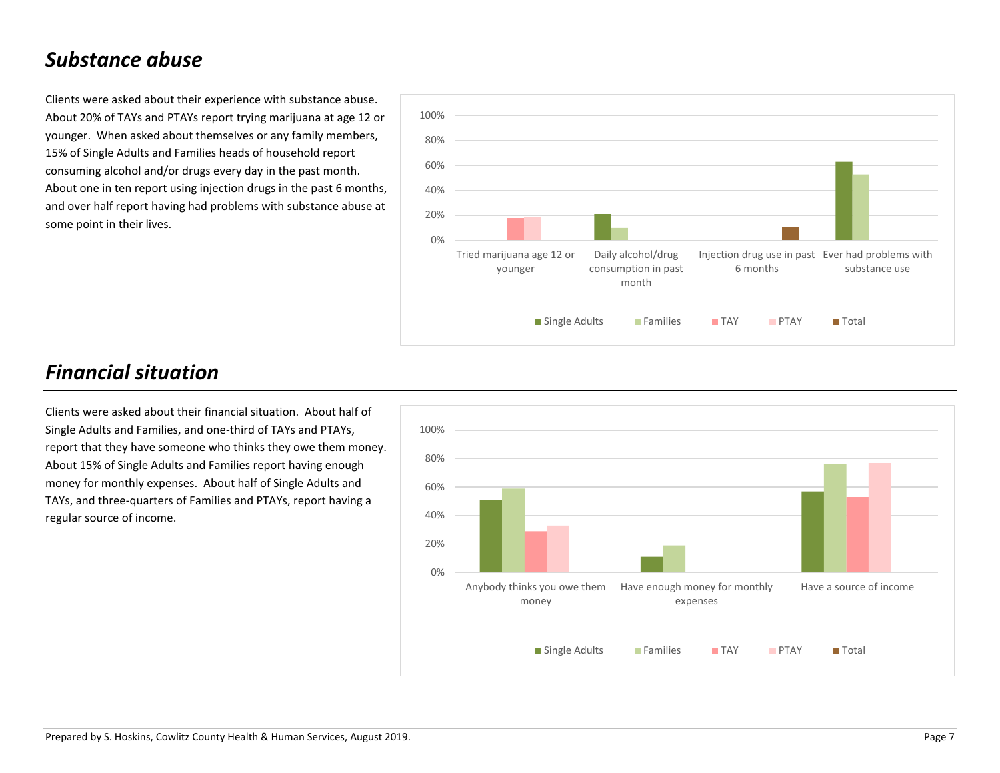## *Substance abuse*

Clients were asked about their experience with substance abuse. About 20% of TAYs and PTAYs report trying marijuana at age 12 or younger. When asked about themselves or any family members, 15% of Single Adults and Families heads of household report consuming alcohol and/or drugs every day in the past month. About one in ten report using injection drugs in the past 6 months, and over half report having had problems with substance abuse at some point in their lives.



# *Financial situation*

Clients were asked about their financial situation. About half of Single Adults and Families, and one-third of TAYs and PTAYs, report that they have someone who thinks they owe them money. About 15% of Single Adults and Families report having enough money for monthly expenses. About half of Single Adults and TAYs, and three-quarters of Families and PTAYs, report having a regular source of income.

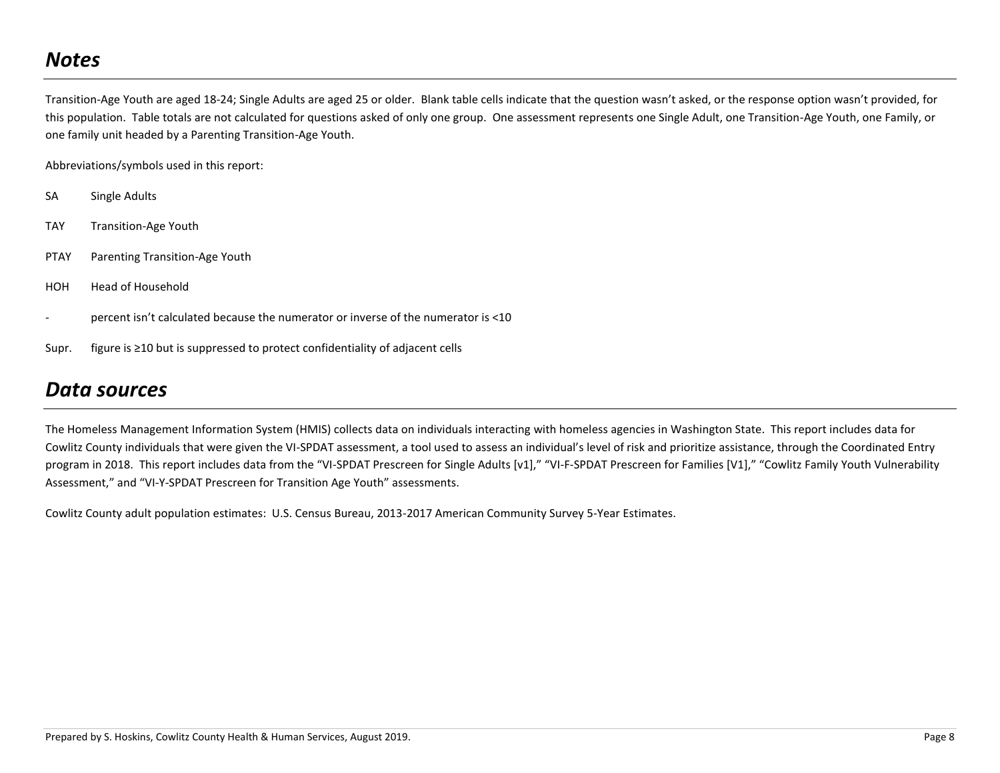## *Notes*

Transition-Age Youth are aged 18-24; Single Adults are aged 25 or older. Blank table cells indicate that the question wasn't asked, or the response option wasn't provided, for this population. Table totals are not calculated for questions asked of only one group. One assessment represents one Single Adult, one Transition-Age Youth, one Family, or one family unit headed by a Parenting Transition-Age Youth.

Abbreviations/symbols used in this report:

- SA Single Adults
- TAY Transition-Age Youth
- PTAY Parenting Transition-Age Youth
- HOH Head of Household
- percent isn't calculated because the numerator or inverse of the numerator is <10
- Supr. figure is ≥10 but is suppressed to protect confidentiality of adjacent cells

### *Data sources*

The Homeless Management Information System (HMIS) collects data on individuals interacting with homeless agencies in Washington State. This report includes data for Cowlitz County individuals that were given the VI-SPDAT assessment, a tool used to assess an individual's level of risk and prioritize assistance, through the Coordinated Entry program in 2018. This report includes data from the "VI-SPDAT Prescreen for Single Adults [v1]," "VI-F-SPDAT Prescreen for Families [V1]," "Cowlitz Family Youth Vulnerability Assessment," and "VI-Y-SPDAT Prescreen for Transition Age Youth" assessments.

Cowlitz County adult population estimates: U.S. Census Bureau, 2013-2017 American Community Survey 5-Year Estimates.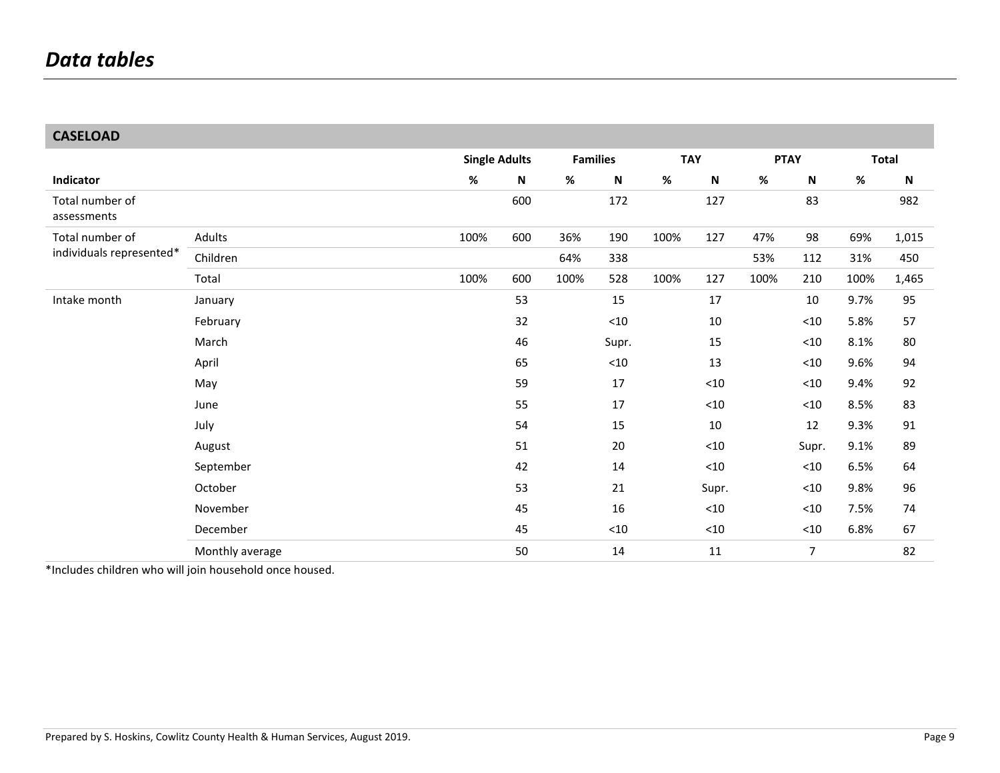### **CASELOAD**

|                                |                 |      | <b>Single Adults</b> |      | <b>Families</b> | <b>TAY</b> |                           |      | <b>PTAY</b>               |      | <b>Total</b> |
|--------------------------------|-----------------|------|----------------------|------|-----------------|------------|---------------------------|------|---------------------------|------|--------------|
| Indicator                      |                 | %    | $\mathsf N$          | $\%$ | ${\sf N}$       | $\%$       | $\boldsymbol{\mathsf{N}}$ | $\%$ | $\boldsymbol{\mathsf{N}}$ | $\%$ | N            |
| Total number of<br>assessments |                 |      | 600                  |      | 172             |            | 127                       |      | 83                        |      | 982          |
| Total number of                | Adults          | 100% | 600                  | 36%  | 190             | 100%       | 127                       | 47%  | 98                        | 69%  | 1,015        |
| individuals represented*       | Children        |      |                      | 64%  | 338             |            |                           | 53%  | 112                       | 31%  | 450          |
|                                | Total           | 100% | 600                  | 100% | 528             | 100%       | 127                       | 100% | 210                       | 100% | 1,465        |
| Intake month                   | January         |      | 53                   |      | 15              |            | 17                        |      | 10                        | 9.7% | 95           |
|                                | February        |      | 32                   |      | $<10$           |            | 10                        |      | $<10$                     | 5.8% | 57           |
|                                | March           |      | 46                   |      | Supr.           |            | 15                        |      | $<10$                     | 8.1% | 80           |
|                                | April           |      | 65                   |      | $<$ 10          |            | 13                        |      | $<10$                     | 9.6% | 94           |
|                                | May             |      | 59                   |      | 17              |            | $<10$                     |      | ${<}10$                   | 9.4% | 92           |
|                                | June            |      | 55                   |      | $17\,$          |            | $<$ 10                    |      | ${<}10$                   | 8.5% | 83           |
|                                | July            |      | 54                   |      | 15              |            | 10                        |      | 12                        | 9.3% | 91           |
|                                | August          |      | 51                   |      | 20              |            | $<10$                     |      | Supr.                     | 9.1% | 89           |
|                                | September       |      | 42                   |      | 14              |            | $<10$                     |      | ${<}10$                   | 6.5% | 64           |
|                                | October         |      | 53                   |      | 21              |            | Supr.                     |      | $<10$                     | 9.8% | 96           |
|                                | November        |      | 45                   |      | 16              |            | $<$ 10                    |      | ${<}10$                   | 7.5% | 74           |
|                                | December        |      | 45                   |      | ${<}10$         |            | $<10$                     |      | $<10$                     | 6.8% | 67           |
|                                | Monthly average |      | 50                   |      | 14              |            | 11                        |      | 7                         |      | 82           |

\*Includes children who will join household once housed.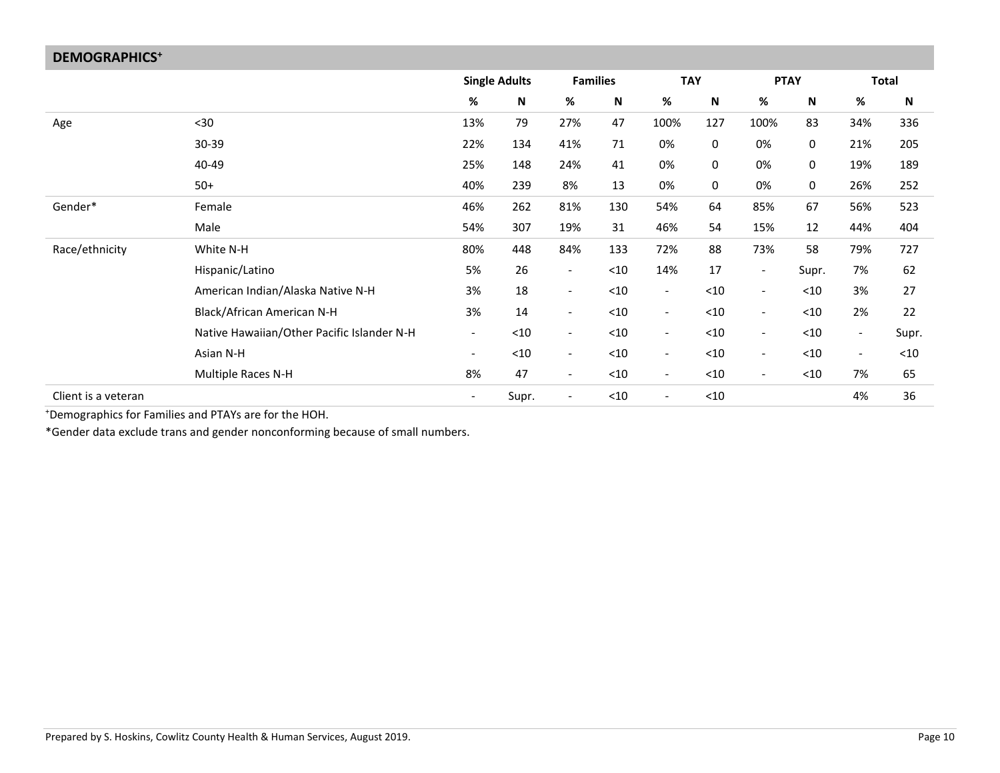| <b>DEMOGRAPHICS<sup>+</sup></b> |                                            |                          |                      |                          |                 |                          |        |                          |             |                          |              |
|---------------------------------|--------------------------------------------|--------------------------|----------------------|--------------------------|-----------------|--------------------------|--------|--------------------------|-------------|--------------------------|--------------|
|                                 |                                            |                          | <b>Single Adults</b> |                          | <b>Families</b> | <b>TAY</b>               |        |                          | <b>PTAY</b> |                          | <b>Total</b> |
|                                 |                                            | $\%$                     | N                    | %                        | N               | $\%$                     | N      | %                        | $\mathbf N$ | $\%$                     | N            |
| Age                             | $30$                                       | 13%                      | 79                   | 27%                      | 47              | 100%                     | 127    | 100%                     | 83          | 34%                      | 336          |
|                                 | 30-39                                      | 22%                      | 134                  | 41%                      | 71              | 0%                       | 0      | 0%                       | 0           | 21%                      | 205          |
|                                 | 40-49                                      | 25%                      | 148                  | 24%                      | 41              | 0%                       | 0      | 0%                       | 0           | 19%                      | 189          |
|                                 | $50+$                                      | 40%                      | 239                  | 8%                       | 13              | 0%                       | 0      | 0%                       | 0           | 26%                      | 252          |
| Gender*                         | Female                                     | 46%                      | 262                  | 81%                      | 130             | 54%                      | 64     | 85%                      | 67          | 56%                      | 523          |
|                                 | Male                                       | 54%                      | 307                  | 19%                      | 31              | 46%                      | 54     | 15%                      | 12          | 44%                      | 404          |
| Race/ethnicity                  | White N-H                                  | 80%                      | 448                  | 84%                      | 133             | 72%                      | 88     | 73%                      | 58          | 79%                      | 727          |
|                                 | Hispanic/Latino                            | 5%                       | 26                   | $\overline{\phantom{a}}$ | $<$ 10          | 14%                      | 17     | $\overline{\phantom{a}}$ | Supr.       | 7%                       | 62           |
|                                 | American Indian/Alaska Native N-H          | 3%                       | 18                   | $\overline{\phantom{a}}$ | $<$ 10          | $\overline{\phantom{a}}$ | $<10$  | $\overline{\phantom{a}}$ | $<$ 10      | 3%                       | 27           |
|                                 | Black/African American N-H                 | 3%                       | 14                   | $\overline{\phantom{a}}$ | $<$ 10          | $\overline{\phantom{a}}$ | $<$ 10 | $\overline{\phantom{a}}$ | $<$ 10      | 2%                       | 22           |
|                                 | Native Hawaiian/Other Pacific Islander N-H | $\overline{\phantom{a}}$ | $<10$                | $\overline{\phantom{a}}$ | $<$ 10          | $\overline{\phantom{a}}$ | < 10   | $\overline{\phantom{a}}$ | $<$ 10      | $\overline{\phantom{a}}$ | Supr.        |
|                                 | Asian N-H                                  | $\overline{\phantom{a}}$ | $<10$                | $-$                      | $<$ 10          | $\overline{\phantom{a}}$ | < 10   | $\overline{\phantom{a}}$ | $<$ 10      | $\overline{\phantom{0}}$ | $<$ 10       |
|                                 | Multiple Races N-H                         | 8%                       | 47                   | $\overline{\phantom{a}}$ | $<$ 10          | $\overline{\phantom{a}}$ | $<$ 10 | $\overline{\phantom{a}}$ | $<$ 10      | 7%                       | 65           |
| Client is a veteran             |                                            | $\overline{\phantom{a}}$ | Supr.                | $\overline{\phantom{a}}$ | $<$ 10          | $\blacksquare$           | $<10$  |                          |             | 4%                       | 36           |

<sup>+</sup>Demographics for Families and PTAYs are for the HOH.

\*Gender data exclude trans and gender nonconforming because of small numbers.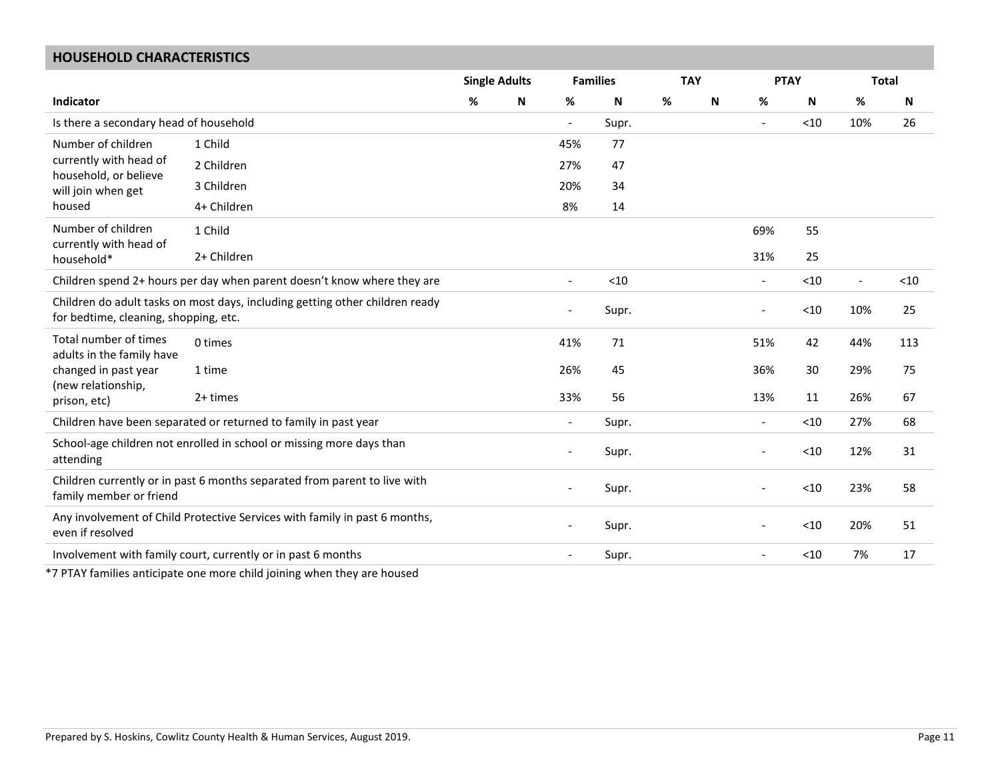### **HOUSEHOLD CHARACTERISTICS**

|                                                    |                                                                                              | <b>Single Adults</b> |   |                          | <b>Families</b> |      | <b>TAY</b> | <b>PTAY</b>              |        | <b>Total</b>             |      |
|----------------------------------------------------|----------------------------------------------------------------------------------------------|----------------------|---|--------------------------|-----------------|------|------------|--------------------------|--------|--------------------------|------|
| Indicator                                          |                                                                                              | %                    | N | %                        | N               | $\%$ | N          | %                        | N      | %                        | N    |
| Is there a secondary head of household             |                                                                                              |                      |   | $\blacksquare$           | Supr.           |      |            | $\overline{\phantom{a}}$ | $<$ 10 | 10%                      | 26   |
| Number of children                                 | 1 Child                                                                                      |                      |   | 45%                      | 77              |      |            |                          |        |                          |      |
| currently with head of<br>household, or believe    | 2 Children                                                                                   |                      |   | 27%                      | 47              |      |            |                          |        |                          |      |
| will join when get                                 | 3 Children                                                                                   |                      |   | 20%                      | 34              |      |            |                          |        |                          |      |
| housed                                             | 4+ Children                                                                                  |                      |   | 8%                       | 14              |      |            |                          |        |                          |      |
| Number of children<br>currently with head of       | 1 Child                                                                                      |                      |   |                          |                 |      |            | 69%                      | 55     |                          |      |
| household*                                         | 2+ Children                                                                                  |                      |   |                          |                 |      |            | 31%                      | 25     |                          |      |
|                                                    | Children spend 2+ hours per day when parent doesn't know where they are                      |                      |   | $\overline{a}$           | < 10            |      |            | $\overline{\phantom{a}}$ | $<10$  | $\overline{\phantom{a}}$ | < 10 |
| for bedtime, cleaning, shopping, etc.              | Children do adult tasks on most days, including getting other children ready                 |                      |   |                          | Supr.           |      |            |                          | $<$ 10 | 10%                      | 25   |
| Total number of times<br>adults in the family have | 0 times                                                                                      |                      |   | 41%                      | 71              |      |            | 51%                      | 42     | 44%                      | 113  |
| changed in past year                               | 1 time                                                                                       |                      |   | 26%                      | 45              |      |            | 36%                      | 30     | 29%                      | 75   |
| (new relationship,<br>prison, etc)                 | 2+ times                                                                                     |                      |   | 33%                      | 56              |      |            | 13%                      | 11     | 26%                      | 67   |
|                                                    | Children have been separated or returned to family in past year                              |                      |   | $\blacksquare$           | Supr.           |      |            | $\overline{\phantom{a}}$ | < 10   | 27%                      | 68   |
| attending                                          | School-age children not enrolled in school or missing more days than                         |                      |   |                          | Supr.           |      |            |                          | $<$ 10 | 12%                      | 31   |
| family member or friend                            | Children currently or in past 6 months separated from parent to live with                    |                      |   | $\overline{\phantom{a}}$ | Supr.           |      |            | $\overline{\phantom{a}}$ | $<$ 10 | 23%                      | 58   |
| even if resolved                                   | Any involvement of Child Protective Services with family in past 6 months,                   |                      |   |                          | Supr.           |      |            |                          | $<$ 10 | 20%                      | 51   |
|                                                    | Involvement with family court, currently or in past 6 months                                 |                      |   | $\overline{\phantom{a}}$ | Supr.           |      |            | $\overline{\phantom{a}}$ | $<10$  | 7%                       | 17   |
|                                                    | * TI DIT ANG Canadda ay ang talagang ang ang ang mga badada ay ang ang ang ang mga banyang d |                      |   |                          |                 |      |            |                          |        |                          |      |

\*7 PTAY families anticipate one more child joining when they are housed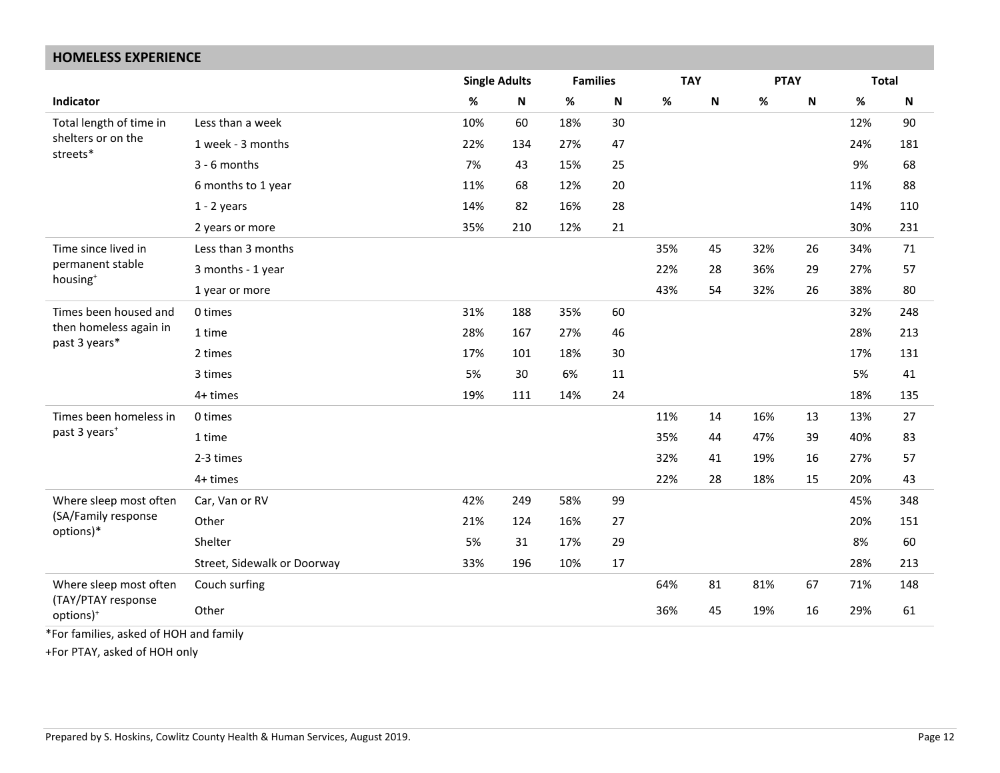#### **HOMELESS EXPERIENCE Single Adults Families TAY PTAY Total Indicator % N % N % N % N % N** Total length of time in shelters or on the streets\* Less than a week 10% 60 18% 30 12% 90 1 week - 3 months 22% 134 27% 47 24% 181 3 - 6 months 7% 43 15% 25 9% 68 6 months to 1 year 11% 68 12% 20 11% 88 1 - 2 years 14% 82 16% 28 14% 110 2 years or more 35% 210 12% 21 30% 231 Time since lived in permanent stable housing<sup>+</sup> Less than 3 months 35% 45 32% 26 34% 71 3 months - 1 year 22% 28 36% 29 27% 57 1 year or more 43% 54 32% 26 38% 80 Times been housed and then homeless again in past 3 years\* 0 times 31% 188 35% 60 32% 248 1 time 28% 167 27% 46 28% 213 2 times 17% 101 18% 30 17% 131 3 times 5% 30 6% 11 5% 5% 41 4+ times 19% 19% 111 14% 24 18% 18% 18% 135 Times been homeless in past 3 years<sup>+</sup> 0 times 11% 16% 13 13% 27 1 time 35% 44 47% 39 40% 83 2-3 times 32% 41 19% 16 27% 57 4+ times 22% 28 18% 15 20% 43 Where sleep most often (SA/Family response options)\* Car, Van or RV 42% 249 58% 99 45% 348 Other 21% 124 16% 27 20% 151 Shelter 5% 31 17% 29 8% 60 Street, Sidewalk or Doorway 33% 196 10% 17 28% 213 Where sleep most often (TAY/PTAY response options)<sup>+</sup> Couch surfing 64% 81 81% 67 71% 148 Other 36% 19% 16 29% 61

\*For families, asked of HOH and family

+For PTAY, asked of HOH only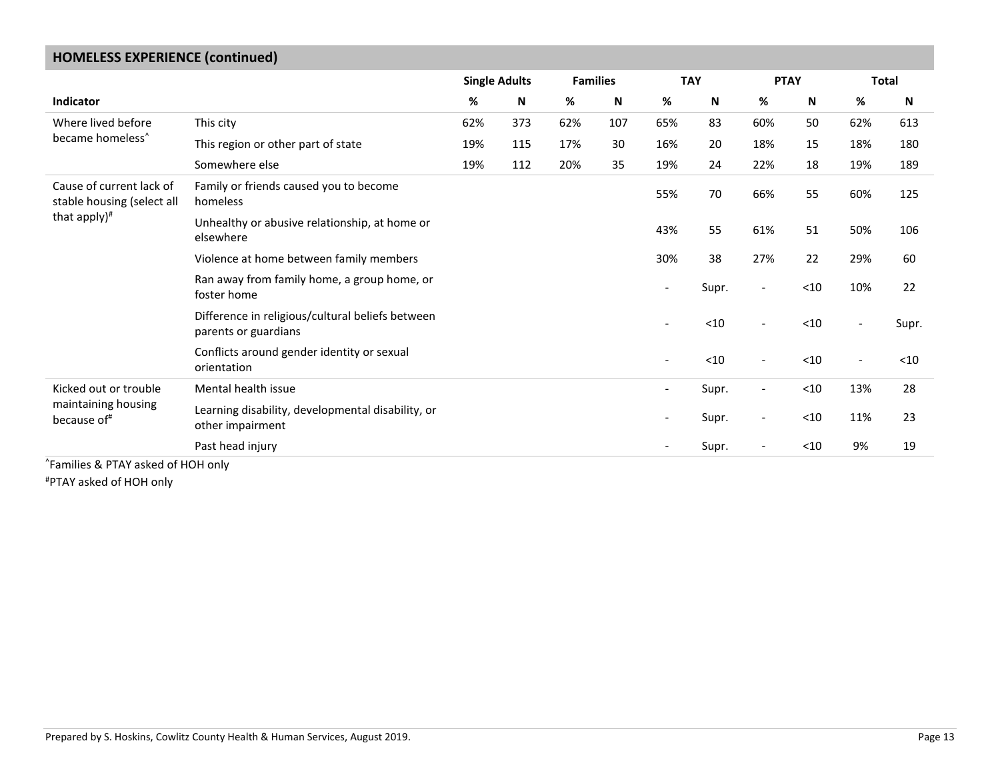| <b>HUIVIELESS EXPERIENCE (CONTINUED)</b>               |                                                                          |     |                      |     |                 |                          |            |                          |        |                          |              |
|--------------------------------------------------------|--------------------------------------------------------------------------|-----|----------------------|-----|-----------------|--------------------------|------------|--------------------------|--------|--------------------------|--------------|
|                                                        |                                                                          |     | <b>Single Adults</b> |     | <b>Families</b> |                          | <b>TAY</b> | <b>PTAY</b>              |        |                          | <b>Total</b> |
| <b>Indicator</b>                                       |                                                                          | %   | N                    | %   | N               | $\%$                     | N          | %                        | N      | %                        | N            |
| Where lived before                                     | This city                                                                | 62% | 373                  | 62% | 107             | 65%                      | 83         | 60%                      | 50     | 62%                      | 613          |
| became homeless <sup>^</sup>                           | This region or other part of state                                       | 19% | 115                  | 17% | 30              | 16%                      | 20         | 18%                      | 15     | 18%                      | 180          |
|                                                        | Somewhere else                                                           | 19% | 112                  | 20% | 35              | 19%                      | 24         | 22%                      | 18     | 19%                      | 189          |
| Cause of current lack of<br>stable housing (select all | Family or friends caused you to become<br>homeless                       |     |                      |     |                 | 55%                      | 70         | 66%                      | 55     | 60%                      | 125          |
| that apply) $#$                                        | Unhealthy or abusive relationship, at home or<br>elsewhere               |     |                      |     |                 | 43%                      | 55         | 61%                      | 51     | 50%                      | 106          |
|                                                        | Violence at home between family members                                  |     |                      |     |                 | 30%                      | 38         | 27%                      | 22     | 29%                      | 60           |
|                                                        | Ran away from family home, a group home, or<br>foster home               |     |                      |     |                 | $\overline{\phantom{a}}$ | Supr.      | $\overline{\phantom{a}}$ | $<$ 10 | 10%                      | 22           |
|                                                        | Difference in religious/cultural beliefs between<br>parents or guardians |     |                      |     |                 |                          | < 10       |                          | $<$ 10 | $\overline{\phantom{a}}$ | Supr.        |
|                                                        | Conflicts around gender identity or sexual<br>orientation                |     |                      |     |                 | $\overline{\phantom{a}}$ | $<10$      | $\overline{\phantom{a}}$ | $<$ 10 | $\overline{\phantom{0}}$ | $<$ 10       |
| Kicked out or trouble                                  | Mental health issue                                                      |     |                      |     |                 |                          | Supr.      |                          | $<$ 10 | 13%                      | 28           |
| maintaining housing<br>because of#                     | Learning disability, developmental disability, or<br>other impairment    |     |                      |     |                 | $\overline{\phantom{a}}$ | Supr.      | $\overline{a}$           | $10$   | 11%                      | 23           |
|                                                        | Past head injury                                                         |     |                      |     |                 | $\overline{\phantom{a}}$ | Supr.      |                          | $<$ 10 | 9%                       | 19           |
| Families & PTAY asked of HOH only                      |                                                                          |     |                      |     |                 |                          |            |                          |        |                          |              |

### **HOMELESS EXPERIENCE (continued)**

#PTAY asked of HOH only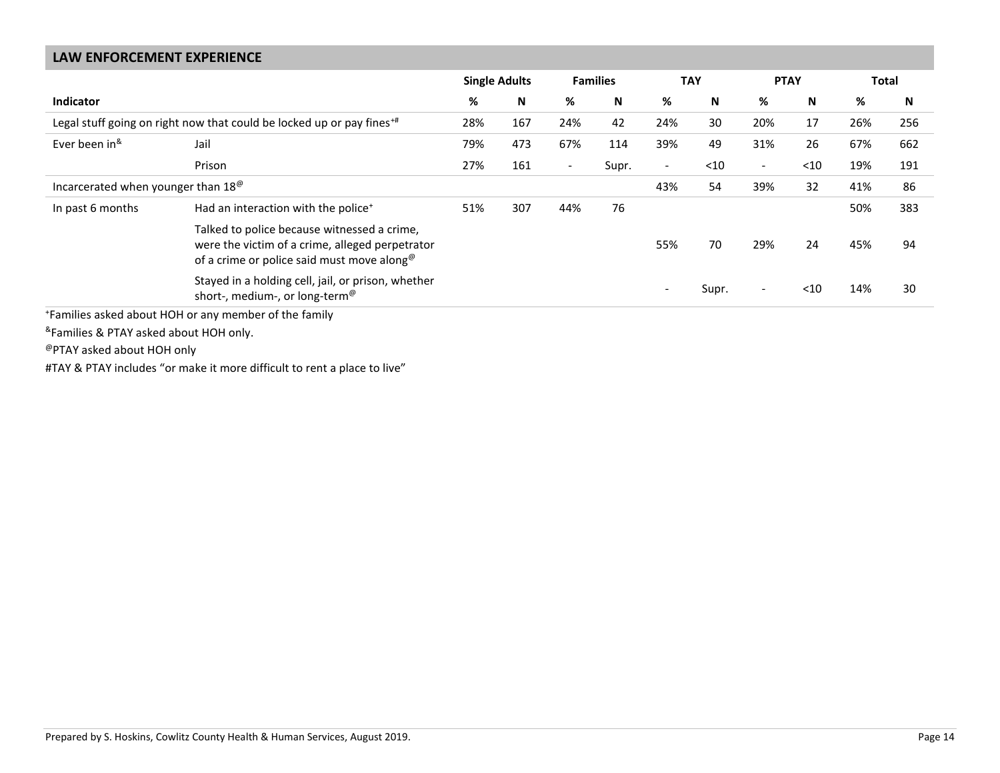| <b>LAW ENFORCEMENT EXPERIENCE</b>              |                                                                                                                                                          |     |                      |                          |                 |                          |            |                          |      |     |              |
|------------------------------------------------|----------------------------------------------------------------------------------------------------------------------------------------------------------|-----|----------------------|--------------------------|-----------------|--------------------------|------------|--------------------------|------|-----|--------------|
|                                                |                                                                                                                                                          |     | <b>Single Adults</b> |                          | <b>Families</b> |                          | <b>TAY</b> | <b>PTAY</b>              |      |     | <b>Total</b> |
| <b>Indicator</b>                               |                                                                                                                                                          | %   | N                    | %                        | N               | %                        | N          | %                        | N    | %   | N            |
|                                                | Legal stuff going on right now that could be locked up or pay fines <sup>+#</sup>                                                                        | 28% | 167                  | 24%                      | 42              | 24%                      | 30         | 20%                      | 17   | 26% | 256          |
| Ever been in <sup>&amp;</sup>                  | Jail                                                                                                                                                     | 79% | 473                  | 67%                      | 114             | 39%                      | 49         | 31%                      | 26   | 67% | 662          |
|                                                | Prison                                                                                                                                                   | 27% | 161                  | $\overline{\phantom{a}}$ | Supr.           | $\overline{\phantom{a}}$ | $<$ 10     | $\overline{\phantom{a}}$ | $10$ | 19% | 191          |
| Incarcerated when younger than 18 <sup>®</sup> |                                                                                                                                                          |     |                      |                          |                 | 43%                      | 54         | 39%                      | 32   | 41% | 86           |
| In past 6 months                               | Had an interaction with the police <sup>+</sup>                                                                                                          | 51% | 307                  | 44%                      | 76              |                          |            |                          |      | 50% | 383          |
|                                                | Talked to police because witnessed a crime,<br>were the victim of a crime, alleged perpetrator<br>of a crime or police said must move along <sup>®</sup> |     |                      |                          |                 | 55%                      | 70         | 29%                      | 24   | 45% | 94           |
|                                                | Stayed in a holding cell, jail, or prison, whether<br>short-, medium-, or long-term <sup>@</sup>                                                         |     |                      |                          |                 | $\sim$                   | Supr.      | $\overline{\phantom{a}}$ | $10$ | 14% | 30           |
|                                                | *Families asked about HOH or any member of the family                                                                                                    |     |                      |                          |                 |                          |            |                          |      |     |              |

& Families & PTAY asked about HOH only.

@PTAY asked about HOH only

#TAY & PTAY includes "or make it more difficult to rent a place to live"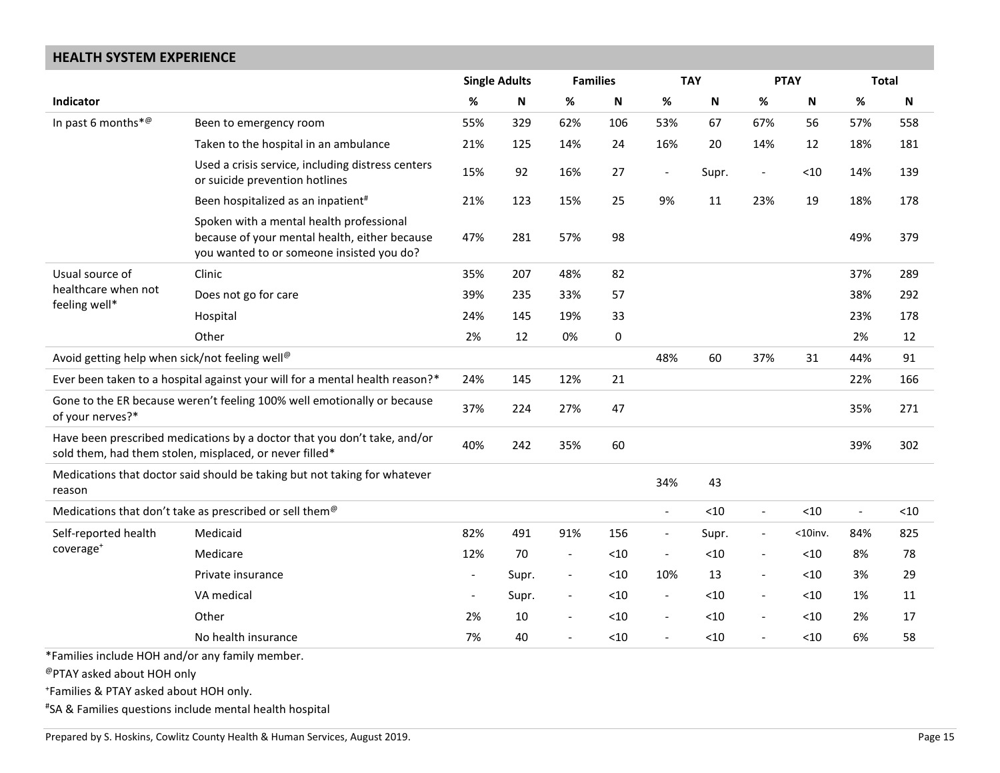### **HEALTH SYSTEM EXPERIENCE**

|                                                                               |                                                                                                                                        |                          | <b>Single Adults</b> | <b>Families</b>          |       |                          | <b>TAY</b> |                          | <b>PTAY</b>               | <b>Total</b>             |        |
|-------------------------------------------------------------------------------|----------------------------------------------------------------------------------------------------------------------------------------|--------------------------|----------------------|--------------------------|-------|--------------------------|------------|--------------------------|---------------------------|--------------------------|--------|
| Indicator                                                                     |                                                                                                                                        | %                        | N                    | $\%$                     | Ν     | %                        | N          | $\%$                     | $\boldsymbol{\mathsf{N}}$ | $\%$                     | N      |
| In past 6 months* <sup>@</sup>                                                | Been to emergency room                                                                                                                 | 55%                      | 329                  | 62%                      | 106   | 53%                      | 67         | 67%                      | 56                        | 57%                      | 558    |
|                                                                               | Taken to the hospital in an ambulance                                                                                                  | 21%                      | 125                  | 14%                      | 24    | 16%                      | 20         | 14%                      | 12                        | 18%                      | 181    |
|                                                                               | Used a crisis service, including distress centers<br>or suicide prevention hotlines                                                    | 15%                      | 92                   | 16%                      | 27    | $\overline{\phantom{a}}$ | Supr.      | $\overline{\phantom{a}}$ | < 10                      | 14%                      | 139    |
|                                                                               | Been hospitalized as an inpatient <sup>#</sup>                                                                                         | 21%                      | 123                  | 15%                      | 25    | 9%                       | 11         | 23%                      | 19                        | 18%                      | 178    |
|                                                                               | Spoken with a mental health professional<br>because of your mental health, either because<br>you wanted to or someone insisted you do? | 47%                      | 281                  | 57%                      | 98    |                          |            |                          |                           | 49%                      | 379    |
| Usual source of                                                               | Clinic                                                                                                                                 | 35%                      | 207                  | 48%                      | 82    |                          |            |                          |                           | 37%                      | 289    |
| healthcare when not<br>feeling well*                                          | Does not go for care                                                                                                                   | 39%                      | 235                  | 33%                      | 57    |                          |            |                          |                           | 38%                      | 292    |
|                                                                               | Hospital                                                                                                                               | 24%                      | 145                  | 19%                      | 33    |                          |            |                          |                           | 23%                      | 178    |
|                                                                               | Other                                                                                                                                  | 2%                       | 12                   | 0%                       | 0     |                          |            |                          |                           | 2%                       | 12     |
| Avoid getting help when sick/not feeling well <sup>@</sup>                    |                                                                                                                                        |                          |                      |                          |       | 48%                      | 60         | 37%                      | 31                        | 44%                      | 91     |
|                                                                               | Ever been taken to a hospital against your will for a mental health reason?*                                                           | 24%                      | 145                  | 12%                      | 21    |                          |            |                          |                           | 22%                      | 166    |
| of your nerves?*                                                              | Gone to the ER because weren't feeling 100% well emotionally or because                                                                | 37%                      | 224                  | 27%                      | 47    |                          |            |                          |                           | 35%                      | 271    |
|                                                                               | Have been prescribed medications by a doctor that you don't take, and/or<br>sold them, had them stolen, misplaced, or never filled*    | 40%                      | 242                  | 35%                      | 60    |                          |            |                          |                           | 39%                      | 302    |
| reason                                                                        | Medications that doctor said should be taking but not taking for whatever                                                              |                          |                      |                          |       | 34%                      | 43         |                          |                           |                          |        |
|                                                                               | Medications that don't take as prescribed or sell them <sup>@</sup>                                                                    |                          |                      |                          |       | $\frac{1}{2}$            | < 10       | $\overline{\phantom{a}}$ | < 10                      | $\overline{\phantom{a}}$ | $<$ 10 |
| Self-reported health                                                          | Medicaid                                                                                                                               | 82%                      | 491                  | 91%                      | 156   | $\overline{\phantom{a}}$ | Supr.      | $\overline{\phantom{a}}$ | $<$ 10inv.                | 84%                      | 825    |
| coverage <sup>+</sup>                                                         | Medicare                                                                                                                               | 12%                      | 70                   | $\overline{\phantom{a}}$ | $<10$ | $\overline{\phantom{a}}$ | < 10       | $\overline{\phantom{a}}$ | < 10                      | 8%                       | 78     |
|                                                                               | Private insurance                                                                                                                      | $\overline{\phantom{a}}$ | Supr.                | $\overline{\phantom{a}}$ | $<10$ | 10%                      | 13         | $\overline{\phantom{a}}$ | $<$ 10                    | 3%                       | 29     |
|                                                                               | VA medical                                                                                                                             | $\blacksquare$           | Supr.                | $\overline{\phantom{a}}$ | < 10  | $\overline{\phantom{a}}$ | < 10       | $\sim$                   | $<$ 10                    | 1%                       | 11     |
|                                                                               | Other                                                                                                                                  | 2%                       | 10                   | $\overline{\phantom{a}}$ | $<10$ | $\overline{\phantom{a}}$ | < 10       | $\overline{\phantom{a}}$ | $<$ 10                    | 2%                       | 17     |
|                                                                               | No health insurance                                                                                                                    | 7%                       | 40                   | $\overline{\phantom{a}}$ | < 10  | $\overline{\phantom{a}}$ | < 10       | $\overline{\phantom{a}}$ | < 10                      | 6%                       | 58     |
| *Families include HOH and/or any family member.<br>@PTAY asked about HOH only |                                                                                                                                        |                          |                      |                          |       |                          |            |                          |                           |                          |        |
| *Families & PTAY asked about HOH only.                                        |                                                                                                                                        |                          |                      |                          |       |                          |            |                          |                           |                          |        |
|                                                                               | "SA & Families questions include mental health hospital                                                                                |                          |                      |                          |       |                          |            |                          |                           |                          |        |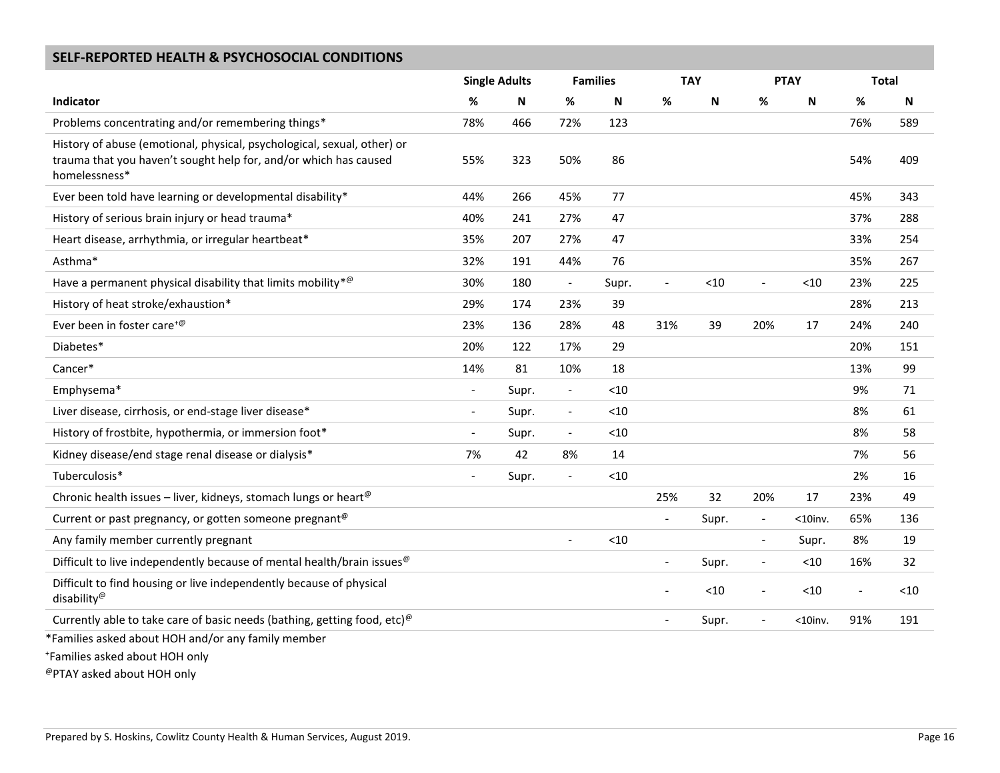### **SELF-REPORTED HEALTH & PSYCHOSOCIAL CONDITIONS**

|                                                                                                                                                              |                          | <b>Single Adults</b> |                          | <b>Families</b> |                          | <b>TAY</b> |                          | <b>PTAY</b>               | <b>Total</b>             |      |
|--------------------------------------------------------------------------------------------------------------------------------------------------------------|--------------------------|----------------------|--------------------------|-----------------|--------------------------|------------|--------------------------|---------------------------|--------------------------|------|
| Indicator                                                                                                                                                    | %                        | N                    | %                        | N               | %                        | N          | $\%$                     | $\boldsymbol{\mathsf{N}}$ | %                        | N    |
| Problems concentrating and/or remembering things*                                                                                                            | 78%                      | 466                  | 72%                      | 123             |                          |            |                          |                           | 76%                      | 589  |
| History of abuse (emotional, physical, psychological, sexual, other) or<br>trauma that you haven't sought help for, and/or which has caused<br>homelessness* | 55%                      | 323                  | 50%                      | 86              |                          |            |                          |                           | 54%                      | 409  |
| Ever been told have learning or developmental disability*                                                                                                    | 44%                      | 266                  | 45%                      | 77              |                          |            |                          |                           | 45%                      | 343  |
| History of serious brain injury or head trauma*                                                                                                              | 40%                      | 241                  | 27%                      | 47              |                          |            |                          |                           | 37%                      | 288  |
| Heart disease, arrhythmia, or irregular heartbeat*                                                                                                           | 35%                      | 207                  | 27%                      | 47              |                          |            |                          |                           | 33%                      | 254  |
| Asthma*                                                                                                                                                      | 32%                      | 191                  | 44%                      | 76              |                          |            |                          |                           | 35%                      | 267  |
| Have a permanent physical disability that limits mobility * $\mathcal{P}$                                                                                    | 30%                      | 180                  | $\overline{\phantom{a}}$ | Supr.           | $\overline{\phantom{a}}$ | $<10$      | $\overline{\phantom{a}}$ | $<10$                     | 23%                      | 225  |
| History of heat stroke/exhaustion*                                                                                                                           | 29%                      | 174                  | 23%                      | 39              |                          |            |                          |                           | 28%                      | 213  |
| Ever been in foster care <sup>+@</sup>                                                                                                                       | 23%                      | 136                  | 28%                      | 48              | 31%                      | 39         | 20%                      | 17                        | 24%                      | 240  |
| Diabetes*                                                                                                                                                    | 20%                      | 122                  | 17%                      | 29              |                          |            |                          |                           | 20%                      | 151  |
| Cancer*                                                                                                                                                      | 14%                      | 81                   | 10%                      | 18              |                          |            |                          |                           | 13%                      | 99   |
| Emphysema*                                                                                                                                                   | $\blacksquare$           | Supr.                | $\overline{\phantom{a}}$ | $<$ 10          |                          |            |                          |                           | 9%                       | 71   |
| Liver disease, cirrhosis, or end-stage liver disease*                                                                                                        |                          | Supr.                | $\overline{\phantom{a}}$ | < 10            |                          |            |                          |                           | 8%                       | 61   |
| History of frostbite, hypothermia, or immersion foot*                                                                                                        | $\overline{\phantom{a}}$ | Supr.                | $\overline{\phantom{a}}$ | $<10$           |                          |            |                          |                           | 8%                       | 58   |
| Kidney disease/end stage renal disease or dialysis*                                                                                                          | 7%                       | 42                   | 8%                       | 14              |                          |            |                          |                           | 7%                       | 56   |
| Tuberculosis*                                                                                                                                                |                          | Supr.                | $\overline{\phantom{a}}$ | < 10            |                          |            |                          |                           | 2%                       | 16   |
| Chronic health issues - liver, kidneys, stomach lungs or heart <sup>@</sup>                                                                                  |                          |                      |                          |                 | 25%                      | 32         | 20%                      | 17                        | 23%                      | 49   |
| Current or past pregnancy, or gotten someone pregnant <sup>@</sup>                                                                                           |                          |                      |                          |                 | $\overline{\phantom{a}}$ | Supr.      | $\overline{\phantom{a}}$ | $<$ 10inv.                | 65%                      | 136  |
| Any family member currently pregnant                                                                                                                         |                          |                      |                          | < 10            |                          |            | $\overline{\phantom{a}}$ | Supr.                     | 8%                       | 19   |
| Difficult to live independently because of mental health/brain issues $^{\circledcirc}$                                                                      |                          |                      |                          |                 |                          | Supr.      | $\overline{\phantom{a}}$ | < 10                      | 16%                      | 32   |
| Difficult to find housing or live independently because of physical<br>disability <sup>@</sup>                                                               |                          |                      |                          |                 | $\overline{a}$           | < 10       | $\overline{\phantom{a}}$ | < 10                      | $\overline{\phantom{a}}$ | < 10 |
| Currently able to take care of basic needs (bathing, getting food, etc) <sup><math>@</math></sup>                                                            |                          |                      |                          |                 | $\overline{\phantom{a}}$ | Supr.      | $\overline{\phantom{a}}$ | $<$ 10inv.                | 91%                      | 191  |
| *Families asked about HOH and/or any family member<br>Families asked about HOH only                                                                          |                          |                      |                          |                 |                          |            |                          |                           |                          |      |

@PTAY asked about HOH only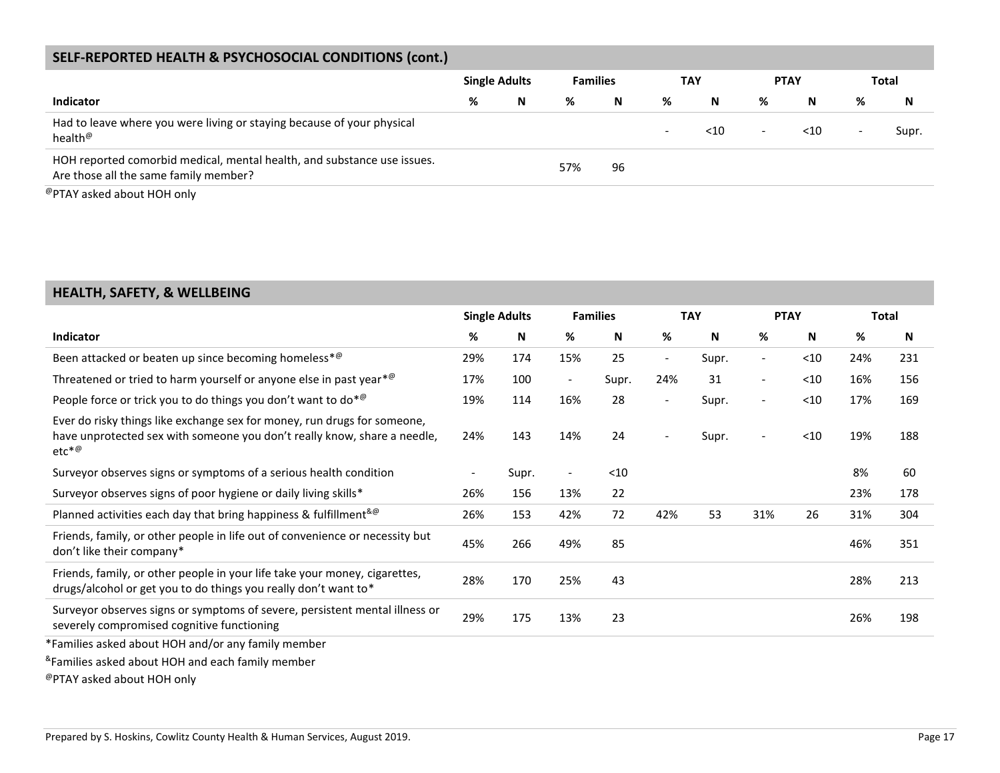### **SELF-REPORTED HEALTH & PSYCHOSOCIAL CONDITIONS (cont.)**

|                                                                                                                  | <b>Single Adults</b> |   | <b>Families</b> |    | TAY                      |        | <b>PTAY</b>              |        | Total                    |       |
|------------------------------------------------------------------------------------------------------------------|----------------------|---|-----------------|----|--------------------------|--------|--------------------------|--------|--------------------------|-------|
| <b>Indicator</b>                                                                                                 | %                    | N | %               | N  | %                        | N      | %                        | N      | %                        | N     |
| Had to leave where you were living or staying because of your physical<br>health <sup>@</sup>                    |                      |   |                 |    | $\overline{\phantom{0}}$ | $<$ 10 | $\overline{\phantom{a}}$ | $<$ 10 | $\overline{\phantom{a}}$ | Supr. |
| HOH reported comorbid medical, mental health, and substance use issues.<br>Are those all the same family member? |                      |   | 57%             | 96 |                          |        |                          |        |                          |       |
| @PTAY asked about HOH only                                                                                       |                      |   |                 |    |                          |        |                          |        |                          |       |

### **HEALTH, SAFETY, & WELLBEING**

|                                                                                                                                                                 |     | <b>Single Adults</b> |                          | <b>Families</b> |                          | <b>TAY</b> |                          | <b>PTAY</b> |      | Total |
|-----------------------------------------------------------------------------------------------------------------------------------------------------------------|-----|----------------------|--------------------------|-----------------|--------------------------|------------|--------------------------|-------------|------|-------|
| <b>Indicator</b>                                                                                                                                                | %   | N                    | %                        | N               | %                        | N          | %                        | N           | $\%$ | N     |
| Been attacked or beaten up since becoming homeless* <sup>@</sup>                                                                                                | 29% | 174                  | 15%                      | 25              | $\overline{\phantom{a}}$ | Supr.      | $\overline{\phantom{a}}$ | $<$ 10      | 24%  | 231   |
| Threatened or tried to harm yourself or anyone else in past year $^{*@}$                                                                                        | 17% | 100                  | $\overline{\phantom{a}}$ | Supr.           | 24%                      | 31         | $\overline{\phantom{a}}$ | $<$ 10      | 16%  | 156   |
| People force or trick you to do things you don't want to do* <sup>@</sup>                                                                                       | 19% | 114                  | 16%                      | 28              | $\overline{\phantom{a}}$ | Supr.      | $\overline{\phantom{a}}$ | $<$ 10      | 17%  | 169   |
| Ever do risky things like exchange sex for money, run drugs for someone,<br>have unprotected sex with someone you don't really know, share a needle,<br>$etc*@$ | 24% | 143                  | 14%                      | 24              | $\overline{\phantom{a}}$ | Supr.      | $\overline{\phantom{a}}$ | $<$ 10      | 19%  | 188   |
| Surveyor observes signs or symptoms of a serious health condition                                                                                               |     | Supr.                | $\overline{\phantom{a}}$ | $<$ 10          |                          |            |                          |             | 8%   | 60    |
| Surveyor observes signs of poor hygiene or daily living skills*                                                                                                 | 26% | 156                  | 13%                      | 22              |                          |            |                          |             | 23%  | 178   |
| Planned activities each day that bring happiness & fulfillment& <sup>®</sup>                                                                                    | 26% | 153                  | 42%                      | 72              | 42%                      | 53         | 31%                      | 26          | 31%  | 304   |
| Friends, family, or other people in life out of convenience or necessity but<br>don't like their company*                                                       | 45% | 266                  | 49%                      | 85              |                          |            |                          |             | 46%  | 351   |
| Friends, family, or other people in your life take your money, cigarettes,<br>drugs/alcohol or get you to do things you really don't want to*                   | 28% | 170                  | 25%                      | 43              |                          |            |                          |             | 28%  | 213   |
| Surveyor observes signs or symptoms of severe, persistent mental illness or<br>severely compromised cognitive functioning                                       | 29% | 175                  | 13%                      | 23              |                          |            |                          |             | 26%  | 198   |
| *Families asked about HOH and/or any family member                                                                                                              |     |                      |                          |                 |                          |            |                          |             |      |       |
| <sup>&amp;</sup> Families asked about HOH and each family member                                                                                                |     |                      |                          |                 |                          |            |                          |             |      |       |

@PTAY asked about HOH only